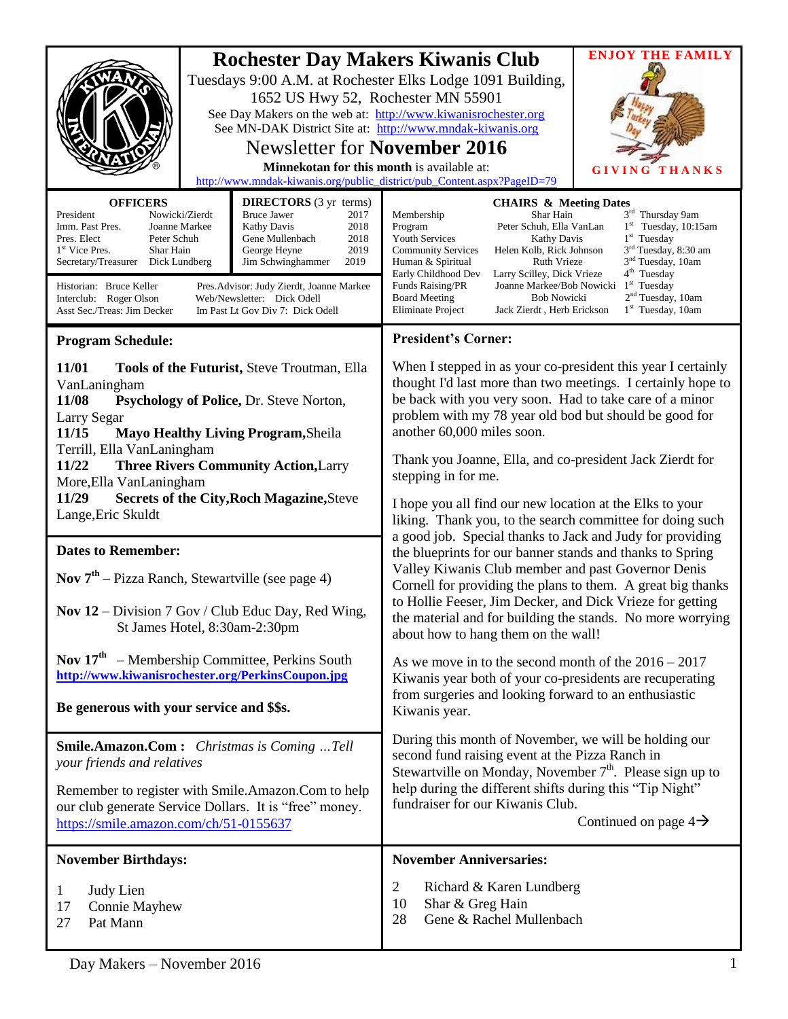| <b>Rochester Day Makers Kiwanis Club</b><br>Tuesdays 9:00 A.M. at Rochester Elks Lodge 1091 Building,<br>1652 US Hwy 52, Rochester MN 55901<br>See Day Makers on the web at: http://www.kiwanisrochester.org<br>See MN-DAK District Site at: http://www.mndak-kiwanis.org<br><b>Newsletter for November 2016</b><br>Minnekotan for this month is available at:<br>http://www.mndak-kiwanis.org/public_district/pub_Content.aspx?PageID=79<br><b>OFFICERS</b><br><b>DIRECTORS</b> (3 yr terms)<br><b>Bruce Jawer</b><br>President<br>Nowicki/Zierdt<br>2017<br>Imm. Past Pres.<br>Joanne Markee<br>Kathy Davis<br>2018<br>Pres. Elect<br>Peter Schuh<br>Gene Mullenbach<br>2018<br>2019<br>1 <sup>st</sup> Vice Pres.<br>Shar Hain<br>George Heyne<br>Dick Lundberg<br>Jim Schwinghammer<br>2019<br>Secretary/Treasurer |  | <b>CHAIRS &amp; Meeting Dates</b><br>Membership<br>Shar Hain<br>Program<br>Peter Schuh, Ella VanLan<br><b>Youth Services</b><br><b>Kathy Davis</b><br><b>Community Services</b><br>Helen Kolb, Rick Johnson<br>Human & Spiritual<br><b>Ruth Vrieze</b><br>Early Childhood Dev<br>Larry Scilley, Dick Vrieze                                                                                                                                                                                                                            | <b>ENJOY THE FAMILY</b><br>GIVI<br>HANKS<br>3rd Thursday 9am<br>$1st$ Tuesday, 10:15am<br>$1st$ Tuesday<br>3 <sup>rd</sup> Tuesday, 8:30 am<br>3 <sup>nd</sup> Tuesday, 10am<br>$4th$ Tuesday |
|------------------------------------------------------------------------------------------------------------------------------------------------------------------------------------------------------------------------------------------------------------------------------------------------------------------------------------------------------------------------------------------------------------------------------------------------------------------------------------------------------------------------------------------------------------------------------------------------------------------------------------------------------------------------------------------------------------------------------------------------------------------------------------------------------------------------|--|----------------------------------------------------------------------------------------------------------------------------------------------------------------------------------------------------------------------------------------------------------------------------------------------------------------------------------------------------------------------------------------------------------------------------------------------------------------------------------------------------------------------------------------|-----------------------------------------------------------------------------------------------------------------------------------------------------------------------------------------------|
| Historian: Bruce Keller<br>Pres. Advisor: Judy Zierdt, Joanne Markee<br>Interclub: Roger Olson<br>Web/Newsletter: Dick Odell<br>Asst Sec./Treas: Jim Decker<br>Im Past Lt Gov Div 7: Dick Odell                                                                                                                                                                                                                                                                                                                                                                                                                                                                                                                                                                                                                        |  | Funds Raising/PR<br>Joanne Markee/Bob Nowicki<br><b>Board Meeting</b><br><b>Bob Nowicki</b><br>Eliminate Project<br>Jack Zierdt, Herb Erickson                                                                                                                                                                                                                                                                                                                                                                                         | $1st$ Tuesday<br>2 <sup>nd</sup> Tuesday, 10am<br>$1st$ Tuesday, 10am                                                                                                                         |
| <b>Program Schedule:</b>                                                                                                                                                                                                                                                                                                                                                                                                                                                                                                                                                                                                                                                                                                                                                                                               |  | <b>President's Corner:</b>                                                                                                                                                                                                                                                                                                                                                                                                                                                                                                             |                                                                                                                                                                                               |
| 11/01<br>Tools of the Futurist, Steve Troutman, Ella<br>VanLaningham<br>11/08<br>Psychology of Police, Dr. Steve Norton,<br>Larry Segar<br>11/15<br><b>Mayo Healthy Living Program, Sheila</b><br>Terrill, Ella VanLaningham<br><b>Three Rivers Community Action, Larry</b><br>11/22<br>More, Ella Van Laningham<br><b>Secrets of the City, Roch Magazine, Steve</b><br>11/29<br>Lange, Eric Skuldt                                                                                                                                                                                                                                                                                                                                                                                                                    |  | When I stepped in as your co-president this year I certainly<br>thought I'd last more than two meetings. I certainly hope to<br>be back with you very soon. Had to take care of a minor<br>problem with my 78 year old bod but should be good for<br>another 60,000 miles soon.<br>Thank you Joanne, Ella, and co-president Jack Zierdt for<br>stepping in for me.                                                                                                                                                                     |                                                                                                                                                                                               |
|                                                                                                                                                                                                                                                                                                                                                                                                                                                                                                                                                                                                                                                                                                                                                                                                                        |  | I hope you all find our new location at the Elks to your<br>liking. Thank you, to the search committee for doing such<br>a good job. Special thanks to Jack and Judy for providing<br>the blueprints for our banner stands and thanks to Spring<br>Valley Kiwanis Club member and past Governor Denis<br>Cornell for providing the plans to them. A great big thanks<br>to Hollie Feeser, Jim Decker, and Dick Vrieze for getting<br>the material and for building the stands. No more worrying<br>about how to hang them on the wall! |                                                                                                                                                                                               |
| <b>Dates to Remember:</b>                                                                                                                                                                                                                                                                                                                                                                                                                                                                                                                                                                                                                                                                                                                                                                                              |  |                                                                                                                                                                                                                                                                                                                                                                                                                                                                                                                                        |                                                                                                                                                                                               |
| <b>Nov</b> $7th$ – Pizza Ranch, Stewartville (see page 4)                                                                                                                                                                                                                                                                                                                                                                                                                                                                                                                                                                                                                                                                                                                                                              |  |                                                                                                                                                                                                                                                                                                                                                                                                                                                                                                                                        |                                                                                                                                                                                               |
| Nov $12$ – Division 7 Gov / Club Educ Day, Red Wing,<br>St James Hotel, 8:30am-2:30pm                                                                                                                                                                                                                                                                                                                                                                                                                                                                                                                                                                                                                                                                                                                                  |  |                                                                                                                                                                                                                                                                                                                                                                                                                                                                                                                                        |                                                                                                                                                                                               |
| <b>Nov 17th</b> – Membership Committee, Perkins South<br>http://www.kiwanisrochester.org/PerkinsCoupon.jpg<br>Be generous with your service and \$\$s.                                                                                                                                                                                                                                                                                                                                                                                                                                                                                                                                                                                                                                                                 |  | As we move in to the second month of the $2016 - 2017$<br>Kiwanis year both of your co-presidents are recuperating<br>from surgeries and looking forward to an enthusiastic<br>Kiwanis year.                                                                                                                                                                                                                                                                                                                                           |                                                                                                                                                                                               |
| Smile.Amazon.Com: Christmas is Coming  Tell<br>your friends and relatives<br>Remember to register with Smile.Amazon.Com to help<br>our club generate Service Dollars. It is "free" money.<br>https://smile.amazon.com/ch/51-0155637                                                                                                                                                                                                                                                                                                                                                                                                                                                                                                                                                                                    |  | During this month of November, we will be holding our<br>second fund raising event at the Pizza Ranch in<br>Stewartville on Monday, November 7 <sup>th</sup> . Please sign up to<br>help during the different shifts during this "Tip Night"<br>fundraiser for our Kiwanis Club.<br>Continued on page $4\rightarrow$                                                                                                                                                                                                                   |                                                                                                                                                                                               |
| <b>November Birthdays:</b>                                                                                                                                                                                                                                                                                                                                                                                                                                                                                                                                                                                                                                                                                                                                                                                             |  | <b>November Anniversaries:</b>                                                                                                                                                                                                                                                                                                                                                                                                                                                                                                         |                                                                                                                                                                                               |
| Judy Lien<br>1<br>17<br><b>Connie Mayhew</b><br>27<br>Pat Mann                                                                                                                                                                                                                                                                                                                                                                                                                                                                                                                                                                                                                                                                                                                                                         |  | 2<br>Richard & Karen Lundberg<br>10<br>Shar & Greg Hain<br>Gene & Rachel Mullenbach<br>28                                                                                                                                                                                                                                                                                                                                                                                                                                              |                                                                                                                                                                                               |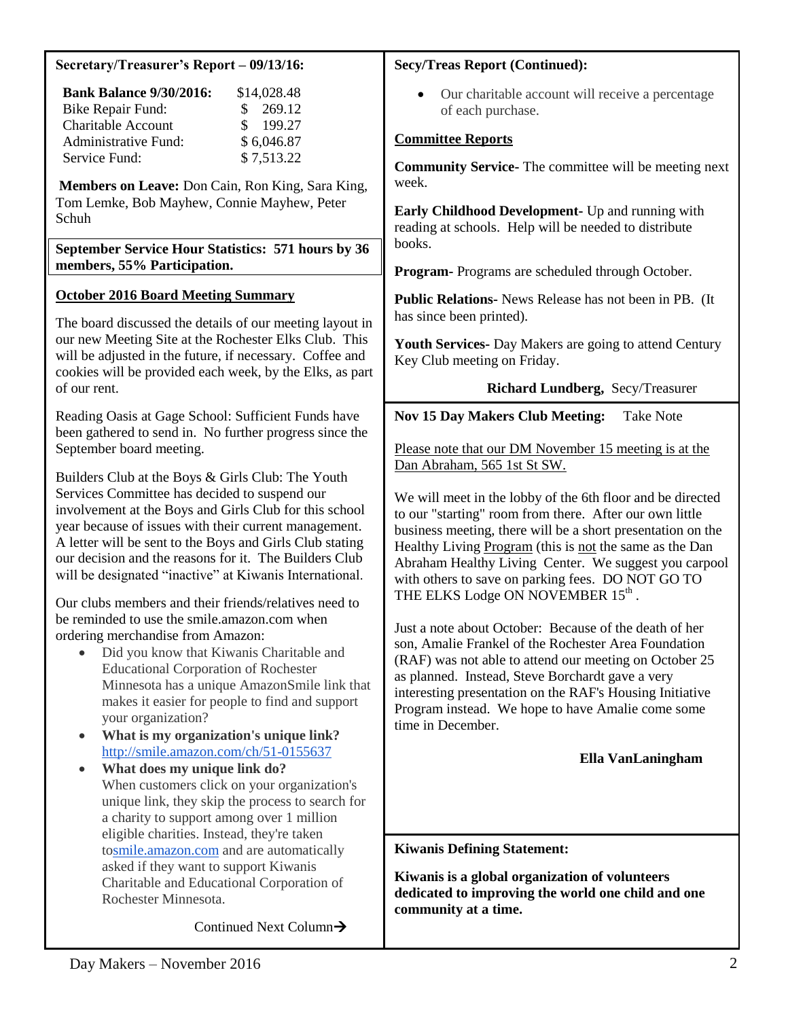| <b>Bank Balance 9/30/2016:</b><br>\$14,028.48<br>Our charitable account will receive a percentage<br><b>Bike Repair Fund:</b><br>269.12<br>\$<br>of each purchase.<br><b>Charitable Account</b><br>199.27<br>\$<br><b>Committee Reports</b><br>Administrative Fund:<br>\$6,046.87<br>Service Fund:<br>\$7,513.22<br><b>Community Service-</b> The committee will be meeting next<br>week.<br>Members on Leave: Don Cain, Ron King, Sara King,<br>Tom Lemke, Bob Mayhew, Connie Mayhew, Peter<br>Early Childhood Development- Up and running with<br>Schuh<br>reading at schools. Help will be needed to distribute<br>books.<br>September Service Hour Statistics: 571 hours by 36<br>members, 55% Participation.<br><b>Program-</b> Programs are scheduled through October.<br><b>October 2016 Board Meeting Summary</b><br>Public Relations- News Release has not been in PB. (It<br>has since been printed).<br>The board discussed the details of our meeting layout in<br>our new Meeting Site at the Rochester Elks Club. This<br>Youth Services- Day Makers are going to attend Century<br>will be adjusted in the future, if necessary. Coffee and<br>Key Club meeting on Friday.<br>cookies will be provided each week, by the Elks, as part<br>of our rent.<br>Richard Lundberg, Secy/Treasurer<br><b>Nov 15 Day Makers Club Meeting:</b><br><b>Take Note</b><br>Reading Oasis at Gage School: Sufficient Funds have<br>been gathered to send in. No further progress since the<br>September board meeting.<br>Please note that our DM November 15 meeting is at the<br>Dan Abraham, 565 1st St SW.<br>Builders Club at the Boys & Girls Club: The Youth<br>Services Committee has decided to suspend our<br>We will meet in the lobby of the 6th floor and be directed<br>involvement at the Boys and Girls Club for this school<br>to our "starting" room from there. After our own little<br>year because of issues with their current management.<br>business meeting, there will be a short presentation on the<br>A letter will be sent to the Boys and Girls Club stating<br>Healthy Living Program (this is not the same as the Dan<br>our decision and the reasons for it. The Builders Club<br>Abraham Healthy Living Center. We suggest you carpool<br>will be designated "inactive" at Kiwanis International.<br>with others to save on parking fees. DO NOT GO TO<br>THE ELKS Lodge ON NOVEMBER 15th.<br>Our clubs members and their friends/relatives need to<br>be reminded to use the smile.amazon.com when<br>Just a note about October: Because of the death of her<br>ordering merchandise from Amazon:<br>son, Amalie Frankel of the Rochester Area Foundation<br>Did you know that Kiwanis Charitable and<br>(RAF) was not able to attend our meeting on October 25<br><b>Educational Corporation of Rochester</b><br>as planned. Instead, Steve Borchardt gave a very<br>Minnesota has a unique AmazonSmile link that<br>interesting presentation on the RAF's Housing Initiative<br>makes it easier for people to find and support<br>Program instead. We hope to have Amalie come some<br>your organization?<br>time in December.<br>What is my organization's unique link?<br>$\bullet$<br>http://smile.amazon.com/ch/51-0155637<br>Ella VanLaningham<br>What does my unique link do?<br>$\bullet$<br>When customers click on your organization's<br>unique link, they skip the process to search for<br>a charity to support among over 1 million<br>eligible charities. Instead, they're taken<br><b>Kiwanis Defining Statement:</b><br>tosmile.amazon.com and are automatically<br>asked if they want to support Kiwanis<br>Kiwanis is a global organization of volunteers<br>Charitable and Educational Corporation of<br>dedicated to improving the world one child and one<br>Rochester Minnesota.<br>community at a time.<br>Continued Next Column $\rightarrow$ | Secretary/Treasurer's Report - 09/13/16: | <b>Secy/Treas Report (Continued):</b> |  |
|------------------------------------------------------------------------------------------------------------------------------------------------------------------------------------------------------------------------------------------------------------------------------------------------------------------------------------------------------------------------------------------------------------------------------------------------------------------------------------------------------------------------------------------------------------------------------------------------------------------------------------------------------------------------------------------------------------------------------------------------------------------------------------------------------------------------------------------------------------------------------------------------------------------------------------------------------------------------------------------------------------------------------------------------------------------------------------------------------------------------------------------------------------------------------------------------------------------------------------------------------------------------------------------------------------------------------------------------------------------------------------------------------------------------------------------------------------------------------------------------------------------------------------------------------------------------------------------------------------------------------------------------------------------------------------------------------------------------------------------------------------------------------------------------------------------------------------------------------------------------------------------------------------------------------------------------------------------------------------------------------------------------------------------------------------------------------------------------------------------------------------------------------------------------------------------------------------------------------------------------------------------------------------------------------------------------------------------------------------------------------------------------------------------------------------------------------------------------------------------------------------------------------------------------------------------------------------------------------------------------------------------------------------------------------------------------------------------------------------------------------------------------------------------------------------------------------------------------------------------------------------------------------------------------------------------------------------------------------------------------------------------------------------------------------------------------------------------------------------------------------------------------------------------------------------------------------------------------------------------------------------------------------------------------------------------------------------------------------------------------------------------------------------------------------------------------------------------------------------------------------------------------------------------------------------------------------------------------------------------------------------------------------------------------------------------------------------------------------------------------------------------------------------------------------------------------------------------------------------------------------------------------------------|------------------------------------------|---------------------------------------|--|
|                                                                                                                                                                                                                                                                                                                                                                                                                                                                                                                                                                                                                                                                                                                                                                                                                                                                                                                                                                                                                                                                                                                                                                                                                                                                                                                                                                                                                                                                                                                                                                                                                                                                                                                                                                                                                                                                                                                                                                                                                                                                                                                                                                                                                                                                                                                                                                                                                                                                                                                                                                                                                                                                                                                                                                                                                                                                                                                                                                                                                                                                                                                                                                                                                                                                                                                                                                                                                                                                                                                                                                                                                                                                                                                                                                                                                                                                                                            |                                          |                                       |  |
|                                                                                                                                                                                                                                                                                                                                                                                                                                                                                                                                                                                                                                                                                                                                                                                                                                                                                                                                                                                                                                                                                                                                                                                                                                                                                                                                                                                                                                                                                                                                                                                                                                                                                                                                                                                                                                                                                                                                                                                                                                                                                                                                                                                                                                                                                                                                                                                                                                                                                                                                                                                                                                                                                                                                                                                                                                                                                                                                                                                                                                                                                                                                                                                                                                                                                                                                                                                                                                                                                                                                                                                                                                                                                                                                                                                                                                                                                                            |                                          |                                       |  |
|                                                                                                                                                                                                                                                                                                                                                                                                                                                                                                                                                                                                                                                                                                                                                                                                                                                                                                                                                                                                                                                                                                                                                                                                                                                                                                                                                                                                                                                                                                                                                                                                                                                                                                                                                                                                                                                                                                                                                                                                                                                                                                                                                                                                                                                                                                                                                                                                                                                                                                                                                                                                                                                                                                                                                                                                                                                                                                                                                                                                                                                                                                                                                                                                                                                                                                                                                                                                                                                                                                                                                                                                                                                                                                                                                                                                                                                                                                            |                                          |                                       |  |
|                                                                                                                                                                                                                                                                                                                                                                                                                                                                                                                                                                                                                                                                                                                                                                                                                                                                                                                                                                                                                                                                                                                                                                                                                                                                                                                                                                                                                                                                                                                                                                                                                                                                                                                                                                                                                                                                                                                                                                                                                                                                                                                                                                                                                                                                                                                                                                                                                                                                                                                                                                                                                                                                                                                                                                                                                                                                                                                                                                                                                                                                                                                                                                                                                                                                                                                                                                                                                                                                                                                                                                                                                                                                                                                                                                                                                                                                                                            |                                          |                                       |  |
|                                                                                                                                                                                                                                                                                                                                                                                                                                                                                                                                                                                                                                                                                                                                                                                                                                                                                                                                                                                                                                                                                                                                                                                                                                                                                                                                                                                                                                                                                                                                                                                                                                                                                                                                                                                                                                                                                                                                                                                                                                                                                                                                                                                                                                                                                                                                                                                                                                                                                                                                                                                                                                                                                                                                                                                                                                                                                                                                                                                                                                                                                                                                                                                                                                                                                                                                                                                                                                                                                                                                                                                                                                                                                                                                                                                                                                                                                                            |                                          |                                       |  |
|                                                                                                                                                                                                                                                                                                                                                                                                                                                                                                                                                                                                                                                                                                                                                                                                                                                                                                                                                                                                                                                                                                                                                                                                                                                                                                                                                                                                                                                                                                                                                                                                                                                                                                                                                                                                                                                                                                                                                                                                                                                                                                                                                                                                                                                                                                                                                                                                                                                                                                                                                                                                                                                                                                                                                                                                                                                                                                                                                                                                                                                                                                                                                                                                                                                                                                                                                                                                                                                                                                                                                                                                                                                                                                                                                                                                                                                                                                            |                                          |                                       |  |
|                                                                                                                                                                                                                                                                                                                                                                                                                                                                                                                                                                                                                                                                                                                                                                                                                                                                                                                                                                                                                                                                                                                                                                                                                                                                                                                                                                                                                                                                                                                                                                                                                                                                                                                                                                                                                                                                                                                                                                                                                                                                                                                                                                                                                                                                                                                                                                                                                                                                                                                                                                                                                                                                                                                                                                                                                                                                                                                                                                                                                                                                                                                                                                                                                                                                                                                                                                                                                                                                                                                                                                                                                                                                                                                                                                                                                                                                                                            |                                          |                                       |  |
|                                                                                                                                                                                                                                                                                                                                                                                                                                                                                                                                                                                                                                                                                                                                                                                                                                                                                                                                                                                                                                                                                                                                                                                                                                                                                                                                                                                                                                                                                                                                                                                                                                                                                                                                                                                                                                                                                                                                                                                                                                                                                                                                                                                                                                                                                                                                                                                                                                                                                                                                                                                                                                                                                                                                                                                                                                                                                                                                                                                                                                                                                                                                                                                                                                                                                                                                                                                                                                                                                                                                                                                                                                                                                                                                                                                                                                                                                                            |                                          |                                       |  |
|                                                                                                                                                                                                                                                                                                                                                                                                                                                                                                                                                                                                                                                                                                                                                                                                                                                                                                                                                                                                                                                                                                                                                                                                                                                                                                                                                                                                                                                                                                                                                                                                                                                                                                                                                                                                                                                                                                                                                                                                                                                                                                                                                                                                                                                                                                                                                                                                                                                                                                                                                                                                                                                                                                                                                                                                                                                                                                                                                                                                                                                                                                                                                                                                                                                                                                                                                                                                                                                                                                                                                                                                                                                                                                                                                                                                                                                                                                            |                                          |                                       |  |
| Day Makers - November 2016                                                                                                                                                                                                                                                                                                                                                                                                                                                                                                                                                                                                                                                                                                                                                                                                                                                                                                                                                                                                                                                                                                                                                                                                                                                                                                                                                                                                                                                                                                                                                                                                                                                                                                                                                                                                                                                                                                                                                                                                                                                                                                                                                                                                                                                                                                                                                                                                                                                                                                                                                                                                                                                                                                                                                                                                                                                                                                                                                                                                                                                                                                                                                                                                                                                                                                                                                                                                                                                                                                                                                                                                                                                                                                                                                                                                                                                                                 |                                          | 2                                     |  |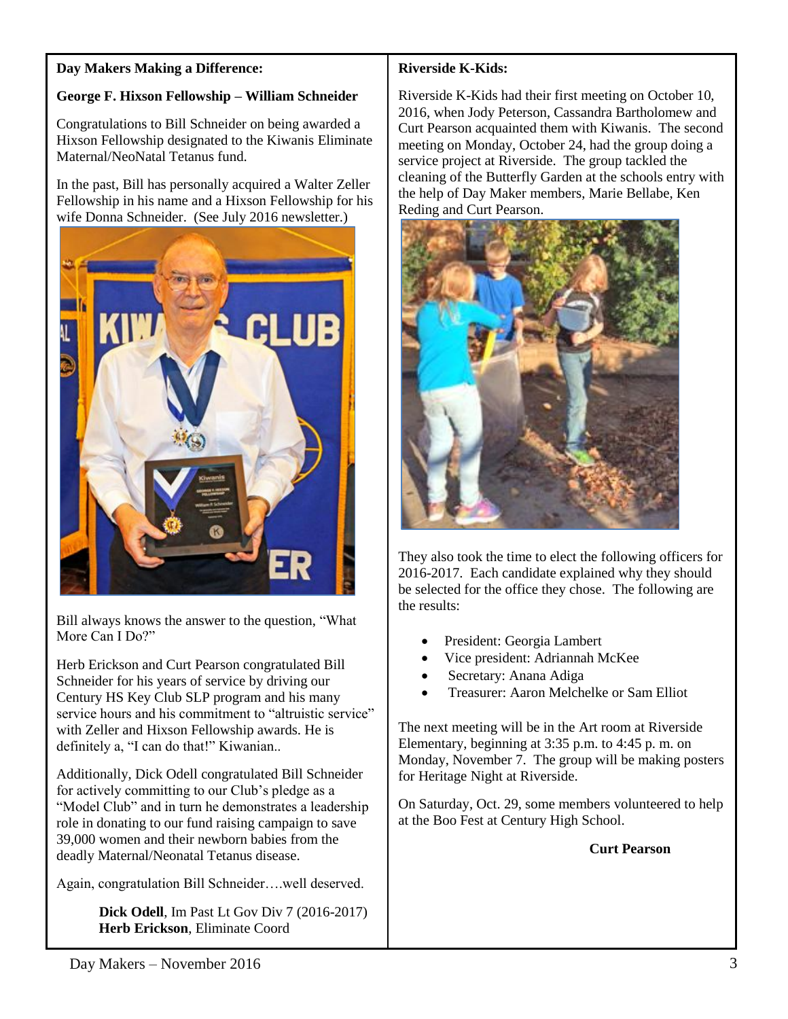#### **Day Makers Making a Difference:**

# **George F. Hixson Fellowship – William Schneider**

Congratulations to Bill Schneider on being awarded a Hixson Fellowship designated to the Kiwanis Eliminate Maternal/NeoNatal Tetanus fund.

In the past, Bill has personally acquired a Walter Zeller Fellowship in his name and a Hixson Fellowship for his wife Donna Schneider. (See July 2016 newsletter.)



Bill always knows the answer to the question, "What More Can I Do?"

Herb Erickson and Curt Pearson congratulated Bill Schneider for his years of service by driving our Century HS Key Club SLP program and his many service hours and his commitment to "altruistic service" with Zeller and Hixson Fellowship awards. He is definitely a, "I can do that!" Kiwanian..

Additionally, Dick Odell congratulated Bill Schneider for actively committing to our Club's pledge as a "Model Club" and in turn he demonstrates a leadership role in donating to our fund raising campaign to save 39,000 women and their newborn babies from the deadly Maternal/Neonatal Tetanus disease.

Again, congratulation Bill Schneider….well deserved.

 **Dick Odell**, Im Past Lt Gov Div 7 (2016-2017)  **Herb Erickson**, Eliminate Coord

## **Riverside K-Kids:**

Riverside K-Kids had their first meeting on October 10, 2016, when Jody Peterson, Cassandra Bartholomew and Curt Pearson acquainted them with Kiwanis. The second meeting on Monday, October 24, had the group doing a service project at Riverside. The group tackled the cleaning of the Butterfly Garden at the schools entry with the help of Day Maker members, Marie Bellabe, Ken Reding and Curt Pearson.



They also took the time to elect the following officers for 2016-2017. Each candidate explained why they should be selected for the office they chose. The following are the results:

- President: Georgia Lambert
- Vice president: Adriannah McKee
- Secretary: Anana Adiga
- Treasurer: Aaron Melchelke or Sam Elliot

The next meeting will be in the Art room at Riverside Elementary, beginning at 3:35 p.m. to 4:45 p. m. on Monday, November 7. The group will be making posters for Heritage Night at Riverside.

On Saturday, Oct. 29, some members volunteered to help at the Boo Fest at Century High School.

#### **Curt Pearson**